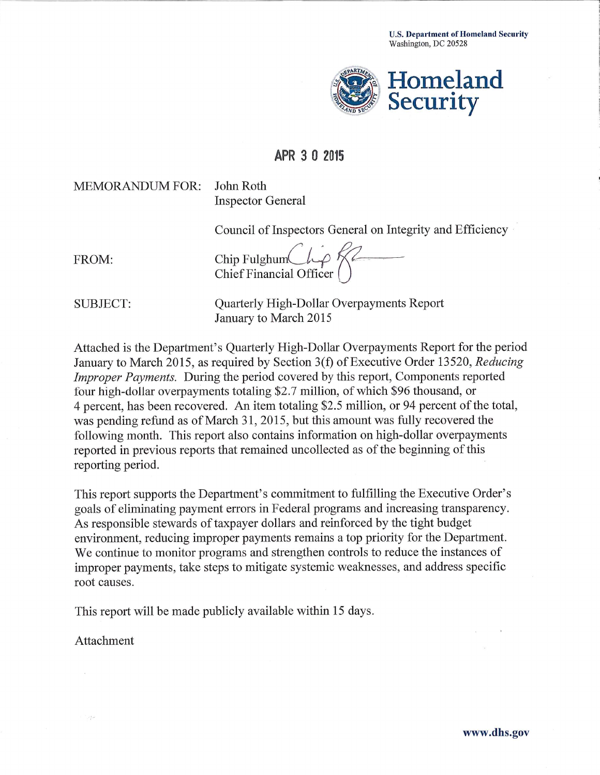

# APR 3 0 2015

## **MEMORANDUM FOR:**

John Roth **Inspector General** 

Council of Inspectors General on Integrity and Efficiency

FROM:

Chip Fulghum<br>Chief Financial Officer

**SUBJECT:** 

Quarterly High-Dollar Overpayments Report January to March 2015

Attached is the Department's Quarterly High-Dollar Overpayments Report for the period January to March 2015, as required by Section 3(f) of Executive Order 13520, Reducing *Improper Payments.* During the period covered by this report, Components reported four high-dollar overpayments totaling \$2.7 million, of which \$96 thousand, or 4 percent, has been recovered. An item totaling \$2.5 million, or 94 percent of the total, was pending refund as of March 31, 2015, but this amount was fully recovered the following month. This report also contains information on high-dollar overpayments reported in previous reports that remained uncollected as of the beginning of this reporting period.

This report supports the Department's commitment to fulfilling the Executive Order's goals of eliminating payment errors in Federal programs and increasing transparency. As responsible stewards of taxpayer dollars and reinforced by the tight budget environment, reducing improper payments remains a top priority for the Department. We continue to monitor programs and strengthen controls to reduce the instances of improper payments, take steps to mitigate systemic weaknesses, and address specific root causes.

This report will be made publicly available within 15 days.

Attachment

 $\epsilon$ 

in pe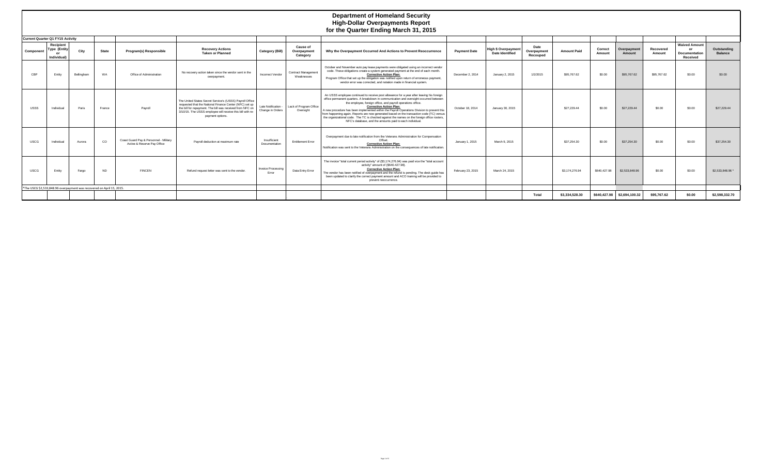|             | <b>Department of Homeland Security</b><br><b>High-Dollar Overpayments Report</b><br>for the Quarter Ending March 31, 2015 |                                                                       |               |                                                                       |                                                                                                                                                                                                                                                                    |                                       |                                            |                                                                                                                                                                                                                                                                                                                                                                                                                                                                                                                                                                                                                                              |                     |                                                      |                                 |                    |                   |                              |                            |                                                   |                               |
|-------------|---------------------------------------------------------------------------------------------------------------------------|-----------------------------------------------------------------------|---------------|-----------------------------------------------------------------------|--------------------------------------------------------------------------------------------------------------------------------------------------------------------------------------------------------------------------------------------------------------------|---------------------------------------|--------------------------------------------|----------------------------------------------------------------------------------------------------------------------------------------------------------------------------------------------------------------------------------------------------------------------------------------------------------------------------------------------------------------------------------------------------------------------------------------------------------------------------------------------------------------------------------------------------------------------------------------------------------------------------------------------|---------------------|------------------------------------------------------|---------------------------------|--------------------|-------------------|------------------------------|----------------------------|---------------------------------------------------|-------------------------------|
|             | <b>Current Quarter Q1 FY15 Activity</b>                                                                                   |                                                                       |               |                                                                       |                                                                                                                                                                                                                                                                    |                                       |                                            |                                                                                                                                                                                                                                                                                                                                                                                                                                                                                                                                                                                                                                              |                     |                                                      |                                 |                    |                   |                              |                            |                                                   |                               |
| Component   | Recipient<br>Type (Entity<br>or<br><b>Individual</b>                                                                      | City                                                                  | <b>State</b>  | Program(s) Responsible                                                | <b>Recovery Actions</b><br><b>Taken or Planned</b>                                                                                                                                                                                                                 | Category (Bill)                       | <b>Cause of</b><br>Overpayment<br>Category | Why the Overpayment Occurred And Actions to Prevent Reoccurrence                                                                                                                                                                                                                                                                                                                                                                                                                                                                                                                                                                             | <b>Payment Date</b> | <b>High \$ Overpayment</b><br><b>Date Identified</b> | Date<br>Overpayment<br>Recouped | <b>Amount Paid</b> | Correct<br>Amount | <b>Dverpayment</b><br>Amount | <b>Recovered</b><br>Amount | <b>Waived Amount</b><br>Documentation<br>Received | Outstanding<br><b>Balance</b> |
| CRP         | Entity                                                                                                                    | Bellingham                                                            | WA            | Office of Administration                                              | No recovery action taken since the vendor sent in the<br>overpayment                                                                                                                                                                                               | Incorrect Vendor                      | Contract Management<br>Weaknesses          | October and November auto pay lease payments were obligated using an incorrect vendor<br>code. These obligations create a system generated payment at the end of each month.<br><b>Corrective Action Plan:</b><br>Program Office that set up the obligation was notified upon return of erroneous payment,<br>vendor error was corrected, and notation made in financial system.                                                                                                                                                                                                                                                             | December 2, 2014    | January 2, 2015                                      | 1/2/2015                        | \$95,767.62        | \$0.00            | \$95,767.62                  | \$95,767.62                | \$0.00                                            | \$0.00                        |
| USSS        | Individual                                                                                                                | Paris                                                                 | France        | Pavroll                                                               | The United States Secret Service's (USSS) Payroll Office<br>requested that the National Finance Center (NFC) set up<br>the bill for repayment. The bill was received from NFC on<br>3/10/15. The USSS employee will receive this bill with re-<br>payment options. | Late Notification<br>Change in Orders | Lack of Program Office<br>Oversight        | An USSS employee continued to receive post allowance for a year after leaving his foreign<br>office permanent quarters. A breakdown in communication and oversight occurred between<br>the employee, foreign office, and payroll operations office.<br><b>Corrective Action Plan:</b><br>A new procedure has been implemented within the Payroll Operations Division to prevent this<br>from happening again. Reports are now generated based on the transaction code (TC) versus<br>the organizational code. The TC is checked against the names on the foreign office rosters,<br>NFC's database, and the amounts paid to each individual. | October 18, 2014    | January 30, 2015                                     |                                 | \$27,229.44        | \$0.00            | \$27,229.44                  | \$0.00                     | \$0.00                                            | \$27,229.44                   |
| <b>USCG</b> | Individual                                                                                                                | Aurora                                                                | <sub>CO</sub> | Coast Guard Pay & Personnel - Military<br>Active & Reserve Pay Office | Payroll deduction at maximum rate                                                                                                                                                                                                                                  | Insufficient<br>Documentation         | <b>Entitlement Error</b>                   | Overpayment due to late notification from the Veterans Administration for Compensation<br>Offset<br><b>Corrective Action Plan:</b><br>Notification was sent to the Veterans Administration on the consequences of late notification.                                                                                                                                                                                                                                                                                                                                                                                                         | January 1, 2015     | March 9, 2015                                        |                                 | \$37,254.30        | \$0.00            | \$37,254.30                  | \$0.00                     | \$0.00                                            | \$37,254,30                   |
| <b>USCG</b> | Entity                                                                                                                    | Fargo                                                                 | <b>ND</b>     | <b>FINCEN</b>                                                         | Refund request letter was sent to the vendor.                                                                                                                                                                                                                      | <b>Invoice Processing</b><br>Error    | Data Entry Error                           | The invoice "total current period activity" of (\$3,174,276.94) was paid vice the "total account<br>activity" amount of (\$640.427.98).<br><b>Corrective Action Plan:</b><br>The vendor has been notified of overpayment and the refund is pending. The desk guide has<br>been updated to clarify the correct payment amount and ACO training will be provided to<br>prevent reoccurrence.                                                                                                                                                                                                                                                   | February 23, 2015   | March 24, 2015                                       |                                 | \$3,174,276.94     | \$640,427.98      | \$2,533,848.96               | \$0.00                     | \$0.00                                            | \$2,533,848.96 *              |
|             |                                                                                                                           | *The USCG \$2,533,848,96 overpayment was recovered on April 15, 2015. |               |                                                                       |                                                                                                                                                                                                                                                                    |                                       |                                            |                                                                                                                                                                                                                                                                                                                                                                                                                                                                                                                                                                                                                                              |                     |                                                      |                                 |                    |                   |                              |                            |                                                   |                               |
|             |                                                                                                                           |                                                                       |               |                                                                       |                                                                                                                                                                                                                                                                    |                                       |                                            |                                                                                                                                                                                                                                                                                                                                                                                                                                                                                                                                                                                                                                              |                     |                                                      | Total                           | \$3,334,528,30     |                   | \$640,427.98 \$2,694,100.32  | \$95,767.62                | \$0.00                                            | \$2,598,332.70                |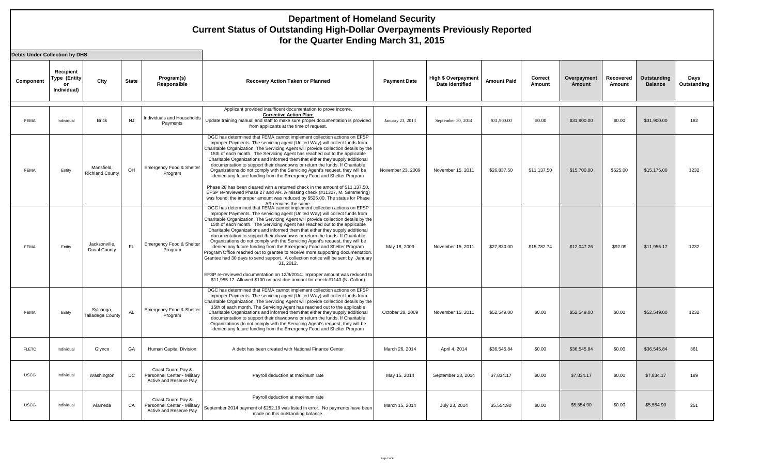| <b>Debts Under Collection by DHS</b> |                                                |                                      |           |                                                                            |                                                                                                                                                                                                                                                                                                                                                                                                                                                                                                                                                                                                                                                                                                                                                                                                                                                                                                                                                                                                      |                     |                                                      |                    |                   |                              |                     |                               |                     |
|--------------------------------------|------------------------------------------------|--------------------------------------|-----------|----------------------------------------------------------------------------|------------------------------------------------------------------------------------------------------------------------------------------------------------------------------------------------------------------------------------------------------------------------------------------------------------------------------------------------------------------------------------------------------------------------------------------------------------------------------------------------------------------------------------------------------------------------------------------------------------------------------------------------------------------------------------------------------------------------------------------------------------------------------------------------------------------------------------------------------------------------------------------------------------------------------------------------------------------------------------------------------|---------------------|------------------------------------------------------|--------------------|-------------------|------------------------------|---------------------|-------------------------------|---------------------|
| Component                            | Recipient<br>Type (Entity<br>or<br>Individual) | City                                 | State     | Program(s)<br>Responsible                                                  | <b>Recovery Action Taken or Planned</b>                                                                                                                                                                                                                                                                                                                                                                                                                                                                                                                                                                                                                                                                                                                                                                                                                                                                                                                                                              | <b>Payment Date</b> | <b>High \$ Overpayment</b><br><b>Date Identified</b> | <b>Amount Paid</b> | Correct<br>Amount | Overpayment<br><b>Amount</b> | Recovered<br>Amount | Outstanding<br><b>Balance</b> | Days<br>Outstanding |
| <b>FEMA</b>                          | Individual                                     | <b>Brick</b>                         | <b>NJ</b> | ndividuals and Households<br>Payments                                      | Applicant provided insufficent documentation to prove income.<br><b>Corrective Action Plan:</b><br>Update training manual and staff to make sure proper documentation is provided<br>from applicants at the time of request.                                                                                                                                                                                                                                                                                                                                                                                                                                                                                                                                                                                                                                                                                                                                                                         | January 23, 2013    | September 30, 2014                                   | \$31,900.00        | \$0.00            | \$31,900.00                  | \$0.00              | \$31,900.00                   | 182                 |
| FEMA                                 | Entity                                         | Mansfield.<br><b>Richland County</b> | OH        | Emergency Food & Shelter<br>Program                                        | OGC has determined that FEMA cannot implement collection actions on EFSP<br>improper Payments. The servicing agent (United Way) will collect funds from<br>Charitable Organization. The Servicing Agent will provide collection details by the<br>15th of each month. The Servicing Agent has reached out to the applicable<br>Charitable Organizations and informed them that either they supply additional<br>documentation to support their drawdowns or return the funds. If Charitable<br>Organizations do not comply with the Servicing Agent's request, they will be<br>denied any future funding from the Emergency Food and Shelter Program<br>Phase 28 has been cleared with a returned check in the amount of \$11,137.50.<br>EFSP re-reviewed Phase 27 and AR. A missing check (#11327, M. Semmering)<br>was found; the improper amount was reduced by \$525.00. The status for Phase<br>AR remains the same.                                                                            | November 23, 2009   | November 15, 2011                                    | \$26,837.50        | \$11,137.50       | \$15,700.00                  | \$525.00            | \$15,175.00                   | 1232                |
| <b>FEMA</b>                          | Entity                                         | Jacksonville,<br><b>Duval County</b> | FL.       | Emergency Food & Shelter<br>Program                                        | OGC has determined that FEMA cannot implement collection actions on EFSP<br>improper Payments. The servicing agent (United Way) will collect funds from<br>Charitable Organization. The Servicing Agent will provide collection details by the<br>15th of each month. The Servicing Agent has reached out to the applicable<br>Charitable Organizations and informed them that either they supply additional<br>documentation to support their drawdowns or return the funds. If Charitable<br>Organizations do not comply with the Servicing Agent's request, they will be<br>denied any future funding from the Emergency Food and Shelter Program<br>Program Office reached out to grantee to receive more supporting documentation.<br>Grantee had 30 days to send support. A collection notice will be sent by January<br>31, 2012.<br>EFSP re-reviewed documentation on 12/9/2014. Improper amount was reduced to<br>\$11,955.17. Allowed \$100 on past due amount for check #1143 (N. Colton) | May 18, 2009        | November 15, 2011                                    | \$27,830.00        | \$15,782.74       | \$12,047.26                  | \$92.09             | \$11,955.17                   | 1232                |
| <b>FEMA</b>                          | Entity                                         | Sylcauga,<br><b>Talladega County</b> | <b>AL</b> | Emergency Food & Shelter<br>Program                                        | OGC has determined that FEMA cannot implement collection actions on EFSP<br>improper Payments. The servicing agent (United Way) will collect funds from<br>Charitable Organization. The Servicing Agent will provide collection details by the<br>15th of each month. The Servicing Agent has reached out to the applicable<br>Charitable Organizations and informed them that either they supply additional<br>documentation to support their drawdowns or return the funds. If Charitable<br>Organizations do not comply with the Servicing Agent's request, they will be<br>denied any future funding from the Emergency Food and Shelter Program                                                                                                                                                                                                                                                                                                                                                 | October 28, 2009    | November 15, 2011                                    | \$52,549.00        | \$0.00            | \$52,549.00                  | \$0.00              | \$52,549.00                   | 1232                |
| <b>FLETC</b>                         | Individual                                     | Glynco                               | GA        | Human Capital Division                                                     | A debt has been created with National Finance Center                                                                                                                                                                                                                                                                                                                                                                                                                                                                                                                                                                                                                                                                                                                                                                                                                                                                                                                                                 | March 26, 2014      | April 4, 2014                                        | \$36,545.84        | \$0.00            | \$36,545.84                  | \$0.00              | \$36,545.84                   | 361                 |
| <b>USCG</b>                          | Individual                                     | Washington                           | DC        | Coast Guard Pay &<br>Personnel Center - Military<br>Active and Reserve Pav | Payroll deduction at maximum rate                                                                                                                                                                                                                                                                                                                                                                                                                                                                                                                                                                                                                                                                                                                                                                                                                                                                                                                                                                    | May 15, 2014        | September 23, 2014                                   | \$7,834.17         | \$0.00            | \$7,834.17                   | \$0.00              | \$7,834.17                    | 189                 |
| <b>USCG</b>                          | Individual                                     | Alameda                              | CA        | Coast Guard Pay &<br>Personnel Center - Military<br>Active and Reserve Pay | Payroll deduction at maximum rate<br>September 2014 payment of \$252.19 was listed in error. No payments have been<br>made on this outstanding balance.                                                                                                                                                                                                                                                                                                                                                                                                                                                                                                                                                                                                                                                                                                                                                                                                                                              | March 15, 2014      | July 23, 2014                                        | \$5,554.90         | \$0.00            | \$5,554.90                   | \$0.00              | \$5,554.90                    | 251                 |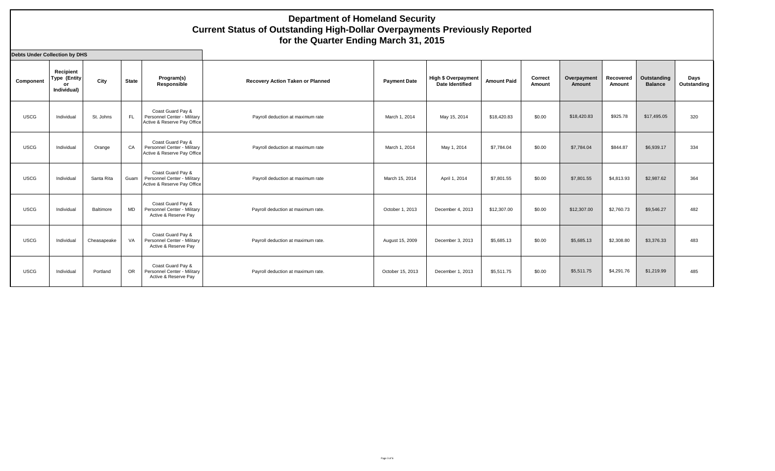| Debts Under Collection by DHS |                                                |             |              |                                                                                 |                                         |                     |                                               |                    |                   |                       |                     |                               |                     |
|-------------------------------|------------------------------------------------|-------------|--------------|---------------------------------------------------------------------------------|-----------------------------------------|---------------------|-----------------------------------------------|--------------------|-------------------|-----------------------|---------------------|-------------------------------|---------------------|
| Component                     | Recipient<br>Type (Entity<br>or<br>Individual) | City        | <b>State</b> | Program(s)<br>Responsible                                                       | <b>Recovery Action Taken or Planned</b> | <b>Payment Date</b> | High \$ Overpayment<br><b>Date Identified</b> | <b>Amount Paid</b> | Correct<br>Amount | Overpayment<br>Amount | Recovered<br>Amount | Outstanding<br><b>Balance</b> | Days<br>Outstanding |
| <b>USCG</b>                   | Individual                                     | St. Johns   | FL.          | Coast Guard Pav &<br>Personnel Center - Military<br>Active & Reserve Pay Office | Payroll deduction at maximum rate       | March 1, 2014       | May 15, 2014                                  | \$18,420.83        | \$0.00            | \$18,420.83           | \$925.78            | \$17,495.05                   | 320                 |
| <b>USCG</b>                   | Individual                                     | Orange      | CA           | Coast Guard Pay &<br>Personnel Center - Military<br>Active & Reserve Pay Office | Payroll deduction at maximum rate       | March 1, 2014       | May 1, 2014                                   | \$7,784.04         | \$0.00            | \$7,784.04            | \$844.87            | \$6,939.17                    | 334                 |
| <b>USCG</b>                   | Individual                                     | Santa Rita  | Guam         | Coast Guard Pay &<br>Personnel Center - Military<br>Active & Reserve Pay Office | Payroll deduction at maximum rate       | March 15, 2014      | April 1, 2014                                 | \$7,801.55         | \$0.00            | \$7,801.55            | \$4,813.93          | \$2,987.62                    | 364                 |
| <b>USCG</b>                   | Individual                                     | Baltimore   | <b>MD</b>    | Coast Guard Pay &<br>Personnel Center - Military<br>Active & Reserve Pay        | Payroll deduction at maximum rate.      | October 1, 2013     | December 4, 2013                              | \$12,307.00        | \$0.00            | \$12,307.00           | \$2,760.73          | \$9,546.27                    | 482                 |
| <b>USCG</b>                   | Individual                                     | Cheasapeake | VA           | Coast Guard Pay &<br>Personnel Center - Military<br>Active & Reserve Pay        | Payroll deduction at maximum rate.      | August 15, 2009     | December 3, 2013                              | \$5,685.13         | \$0.00            | \$5,685.13            | \$2,308.80          | \$3,376.33                    | 483                 |
| <b>USCG</b>                   | Individual                                     | Portland    | OR           | Coast Guard Pay &<br>Personnel Center - Military<br>Active & Reserve Pay        | Payroll deduction at maximum rate.      | October 15, 2013    | December 1, 2013                              | \$5,511.75         | \$0.00            | \$5,511.75            | \$4,291.76          | \$1,219.99                    | 485                 |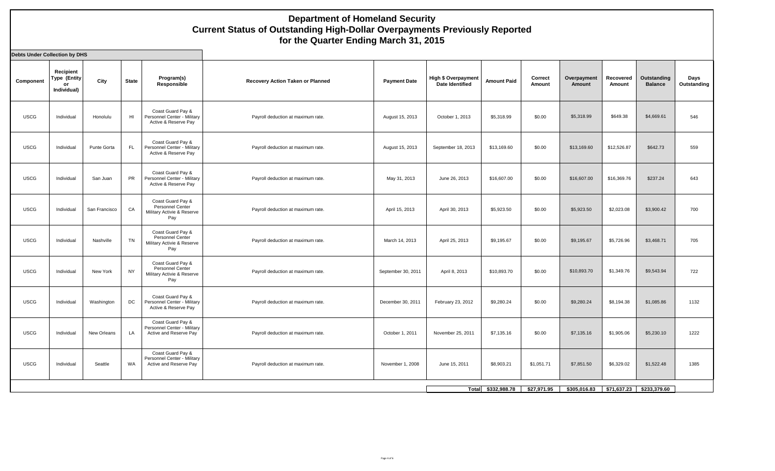| <b>Debts Under Collection by DHS</b> |                                                |               |              |                                                                            |                                         |                     |                                               |                    |                   |                       |                     |                               |                     |
|--------------------------------------|------------------------------------------------|---------------|--------------|----------------------------------------------------------------------------|-----------------------------------------|---------------------|-----------------------------------------------|--------------------|-------------------|-----------------------|---------------------|-------------------------------|---------------------|
| Component                            | Recipient<br>Type (Entity<br>or<br>Individual) | City          | <b>State</b> | Program(s)<br>Responsible                                                  | <b>Recovery Action Taken or Planned</b> | <b>Payment Date</b> | <b>High \$ Overpayment</b><br>Date Identified | <b>Amount Paid</b> | Correct<br>Amount | Overpayment<br>Amount | Recovered<br>Amount | Outstanding<br><b>Balance</b> | Days<br>Outstanding |
| <b>USCG</b>                          | Individual                                     | Honolulu      | HI           | Coast Guard Pay &<br>Personnel Center - Military<br>Active & Reserve Pay   | Payroll deduction at maximum rate.      | August 15, 2013     | October 1, 2013                               | \$5,318.99         | \$0.00            | \$5,318.99            | \$649.38            | \$4,669.61                    | 546                 |
| <b>USCG</b>                          | Individual                                     | Punte Gorta   | <b>FL</b>    | Coast Guard Pay &<br>Personnel Center - Military<br>Active & Reserve Pay   | Payroll deduction at maximum rate       | August 15, 2013     | September 18, 2013                            | \$13,169.60        | \$0.00            | \$13,169.60           | \$12,526.87         | \$642.73                      | 559                 |
| <b>USCG</b>                          | Individual                                     | San Juan      | PR           | Coast Guard Pay &<br>Personnel Center - Military<br>Active & Reserve Pay   | Payroll deduction at maximum rate.      | May 31, 2013        | June 26, 2013                                 | \$16,607.00        | \$0.00            | \$16,607.00           | \$16,369.76         | \$237.24                      | 643                 |
| <b>USCG</b>                          | Individual                                     | San Francisco | CA           | Coast Guard Pay &<br>Personnel Center<br>Military Activie & Reserve<br>Pay | Payroll deduction at maximum rate.      | April 15, 2013      | April 30, 2013                                | \$5,923.50         | \$0.00            | \$5,923.50            | \$2,023.08          | \$3,900.42                    | 700                 |
| <b>USCG</b>                          | Individual                                     | Nashville     | <b>TN</b>    | Coast Guard Pay &<br>Personnel Center<br>Military Activie & Reserve<br>Pay | Payroll deduction at maximum rate       | March 14, 2013      | April 25, 2013                                | \$9,195.67         | \$0.00            | \$9,195.67            | \$5,726.96          | \$3,468.71                    | 705                 |
| <b>USCG</b>                          | Individual                                     | New York      | <b>NY</b>    | Coast Guard Pay &<br>Personnel Center<br>Military Activie & Reserve<br>Pay | Payroll deduction at maximum rate.      | September 30, 2011  | April 8, 2013                                 | \$10,893.70        | \$0.00            | \$10,893.70           | \$1,349.76          | \$9,543.94                    | 722                 |
| <b>USCG</b>                          | Individual                                     | Washington    | DC           | Coast Guard Pay &<br>Personnel Center - Military<br>Active & Reserve Pay   | Payroll deduction at maximum rate.      | December 30, 2011   | February 23, 2012                             | \$9,280.24         | \$0.00            | \$9,280.24            | \$8,194.38          | \$1,085.86                    | 1132                |
| <b>USCG</b>                          | Individual                                     | New Orleans   | LA           | Coast Guard Pay &<br>Personnel Center - Military<br>Active and Reserve Pay | Payroll deduction at maximum rate.      | October 1, 2011     | November 25, 2011                             | \$7,135.16         | \$0.00            | \$7,135.16            | \$1,905.06          | \$5,230.10                    | 1222                |
| <b>USCG</b>                          | Individual                                     | Seattle       | WA           | Coast Guard Pay &<br>Personnel Center - Military<br>Active and Reserve Pay | Payroll deduction at maximum rate.      | November 1, 2008    | June 15, 2011                                 | \$8,903.21         | \$1,051.71        | \$7,851.50            | \$6,329.02          | \$1,522.48                    | 1385                |
|                                      |                                                |               |              |                                                                            |                                         |                     |                                               | Total \$332,988.78 | \$27,971.95       | \$305,016.83          | \$71,637.23         | \$233,379.60                  |                     |
|                                      |                                                |               |              |                                                                            |                                         |                     |                                               |                    |                   |                       |                     |                               |                     |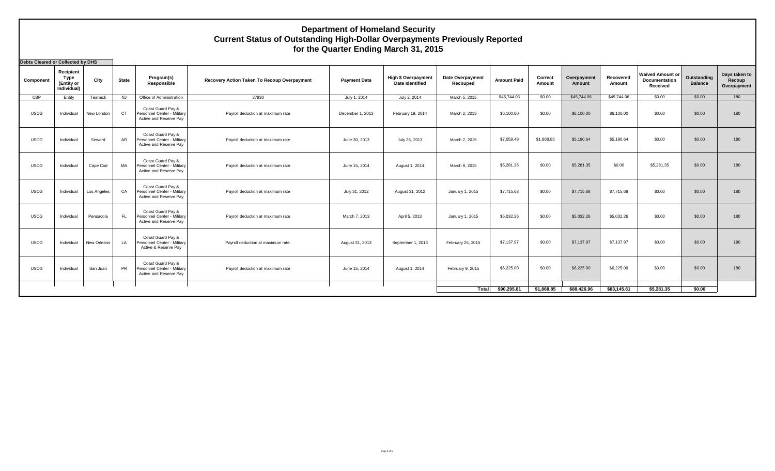**Debts Cleared or Collected by DHS**

| <b>Denis Cleared of Collected by DLIS</b> |                                                |             |                |                                                                            |                                             |                     |                                                      |                              |                    |                   |                       |                     |                                                             |                               |                                        |
|-------------------------------------------|------------------------------------------------|-------------|----------------|----------------------------------------------------------------------------|---------------------------------------------|---------------------|------------------------------------------------------|------------------------------|--------------------|-------------------|-----------------------|---------------------|-------------------------------------------------------------|-------------------------------|----------------------------------------|
| Component                                 | Recipient<br>Type<br>(Entity or<br>Individual) | City        | <b>State</b>   | Program(s)<br>Responsible                                                  | Recovery Action Taken To Recoup Overpayment | <b>Payment Date</b> | <b>High \$ Overpayment</b><br><b>Date Identified</b> | Date Overpayment<br>Recouped | <b>Amount Paid</b> | Correct<br>Amount | Overpayment<br>Amount | Recovered<br>Amount | <b>Waived Amount or</b><br><b>Documentation</b><br>Received | Outstanding<br><b>Balance</b> | Days taken to<br>Recoup<br>Overpayment |
| CBP                                       | Entity                                         | Teaneck     | <b>NJ</b>      | Office of Administration                                                   | 27830                                       | July 1, 2014        | July 2, 2014                                         | March 5, 2015                | \$45,744.06        | \$0.00            | \$45,744.06           | \$45,744.06         | \$0.00                                                      | \$0.00                        | 180                                    |
| <b>USCG</b>                               | Individual                                     | New London  | C <sub>T</sub> | Coast Guard Pav &<br>Personnel Center - Military<br>Active and Reserve Pay | Payroll deduction at maximum rate           | December 1, 2013    | February 19, 2014                                    | March 2, 2015                | \$6,100.00         | \$0.00            | \$6,100.00            | \$6,100.00          | \$0.00                                                      | \$0.00                        | 180                                    |
| <b>USCG</b>                               | Individual                                     | Seward      | <b>AR</b>      | Coast Guard Pay &<br>Personnel Center - Military<br>Active and Reserve Pay | Payroll deduction at maximum rate           | June 30, 2013       | July 26, 2013                                        | March 2, 2015                | \$7,059.49         | \$1,868.85        | \$5,190.64            | \$5,190.64          | \$0.00                                                      | \$0.00                        | 180                                    |
| <b>USCG</b>                               | Individual                                     | Cape Cod    | MA             | Coast Guard Pay &<br>Personnel Center - Military<br>Active and Reserve Pav | Payroll deduction at maximum rate           | June 15, 2014       | August 1, 2014                                       | March 9, 2015                | \$5,281.35         | \$0.00            | \$5,281.35            | \$0.00              | \$5,281.35                                                  | \$0.00                        | 180                                    |
| <b>USCG</b>                               | Individual                                     | Los Angeles | CA             | Coast Guard Pay &<br>Personnel Center - Military<br>Active and Reserve Pay | Payroll deduction at maximum rate           | July 31, 2012       | August 31, 2012                                      | January 1, 2015              | \$7,715.68         | \$0.00            | \$7,715.68            | \$7,715.68          | \$0.00                                                      | \$0.00                        | 180                                    |
| <b>USCG</b>                               | Individual                                     | Pensacola   | <b>FL</b>      | Coast Guard Pay &<br>Personnel Center - Military<br>Active and Reserve Pay | Payroll deduction at maximum rate           | March 7, 2013       | April 5, 2013                                        | January 1, 2015              | \$5,032.26         | \$0.00            | \$5,032.26            | \$5.032.26          | \$0.00                                                      | \$0.00                        | 180                                    |
| <b>USCG</b>                               | Individual                                     | New Orleans | LA             | Coast Guard Pay &<br>Personnel Center - Military<br>Active & Reserve Pay   | Payroll deduction at maximum rate.          | August 31, 2013     | September 1, 2013                                    | February 25, 2015            | \$7,137.97         | \$0.00            | \$7,137.97            | \$7,137.97          | \$0.00                                                      | \$0.00                        | 180                                    |
| <b>USCG</b>                               | Individual                                     | San Juan    | <b>PR</b>      | Coast Guard Pay &<br>Personnel Center - Military<br>Active and Reserve Pay | Payroll deduction at maximum rate           | June 15, 2014       | August 1, 2014                                       | February 9, 2015             | \$6,225.00         | \$0.00            | \$6,225.00            | \$6,225,00          | \$0.00                                                      | \$0.00                        | 180                                    |
|                                           |                                                |             |                |                                                                            |                                             |                     |                                                      | Total                        | \$90,295.81        | \$1,868.85        | \$88,426.96           | \$83,145.61         | \$5.281.35                                                  | \$0.00                        |                                        |